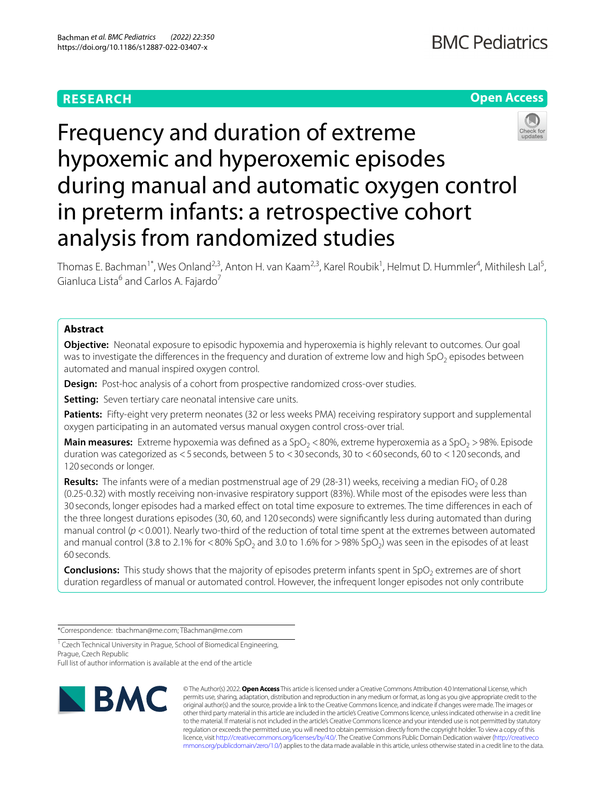# **RESEARCH**

# **Open Access**



# Frequency and duration of extreme hypoxemic and hyperoxemic episodes during manual and automatic oxygen control in preterm infants: a retrospective cohort analysis from randomized studies

Thomas E. Bachman<sup>1\*</sup>, Wes Onland<sup>2,3</sup>, Anton H. van Kaam<sup>2,3</sup>, Karel Roubik<sup>1</sup>, Helmut D. Hummler<sup>4</sup>, Mithilesh Lal<sup>5</sup>, Gianluca Lista<sup>6</sup> and Carlos A. Fajardo<sup>7</sup>

# **Abstract**

**Objective:** Neonatal exposure to episodic hypoxemia and hyperoxemia is highly relevant to outcomes. Our goal was to investigate the differences in the frequency and duration of extreme low and high  $SpO<sub>2</sub>$  episodes between automated and manual inspired oxygen control.

**Design:** Post-hoc analysis of a cohort from prospective randomized cross-over studies.

**Setting:** Seven tertiary care neonatal intensive care units.

**Patients:** Fifty-eight very preterm neonates (32 or less weeks PMA) receiving respiratory support and supplemental oxygen participating in an automated versus manual oxygen control cross-over trial.

**Main measures:** Extreme hypoxemia was defined as a SpO<sub>2</sub> < 80%, extreme hyperoxemia as a SpO<sub>2</sub> > 98%. Episode duration was categorized as <5 seconds, between 5 to <30 seconds, 30 to <60 seconds, 60 to <120 seconds, and 120 seconds or longer.

**Results:** The infants were of a median postmenstrual age of 29 (28-31) weeks, receiving a median FiO<sub>2</sub> of 0.28 (0.25-0.32) with mostly receiving non-invasive respiratory support (83%). While most of the episodes were less than 30 seconds, longer episodes had a marked efect on total time exposure to extremes. The time diferences in each of the three longest durations episodes (30, 60, and 120 seconds) were signifcantly less during automated than during manual control ( $p$  <0.001). Nearly two-third of the reduction of total time spent at the extremes between automated and manual control (3.8 to 2.1% for  $<$  80% SpO<sub>2</sub> and 3.0 to 1.6% for  $>$ 98% SpO<sub>2</sub>) was seen in the episodes of at least 60 seconds.

**Conclusions:** This study shows that the majority of episodes preterm infants spent in SpO<sub>2</sub> extremes are of short duration regardless of manual or automated control. However, the infrequent longer episodes not only contribute

\*Correspondence: tbachman@me.com; TBachman@me.com

<sup>1</sup> Czech Technical University in Prague, School of Biomedical Engineering, Prague, Czech Republic

Full list of author information is available at the end of the article



© The Author(s) 2022. **Open Access** This article is licensed under a Creative Commons Attribution 4.0 International License, which permits use, sharing, adaptation, distribution and reproduction in any medium or format, as long as you give appropriate credit to the original author(s) and the source, provide a link to the Creative Commons licence, and indicate if changes were made. The images or other third party material in this article are included in the article's Creative Commons licence, unless indicated otherwise in a credit line to the material. If material is not included in the article's Creative Commons licence and your intended use is not permitted by statutory regulation or exceeds the permitted use, you will need to obtain permission directly from the copyright holder. To view a copy of this licence, visit [http://creativecommons.org/licenses/by/4.0/.](http://creativecommons.org/licenses/by/4.0/) The Creative Commons Public Domain Dedication waiver ([http://creativeco](http://creativecommons.org/publicdomain/zero/1.0/) [mmons.org/publicdomain/zero/1.0/](http://creativecommons.org/publicdomain/zero/1.0/)) applies to the data made available in this article, unless otherwise stated in a credit line to the data.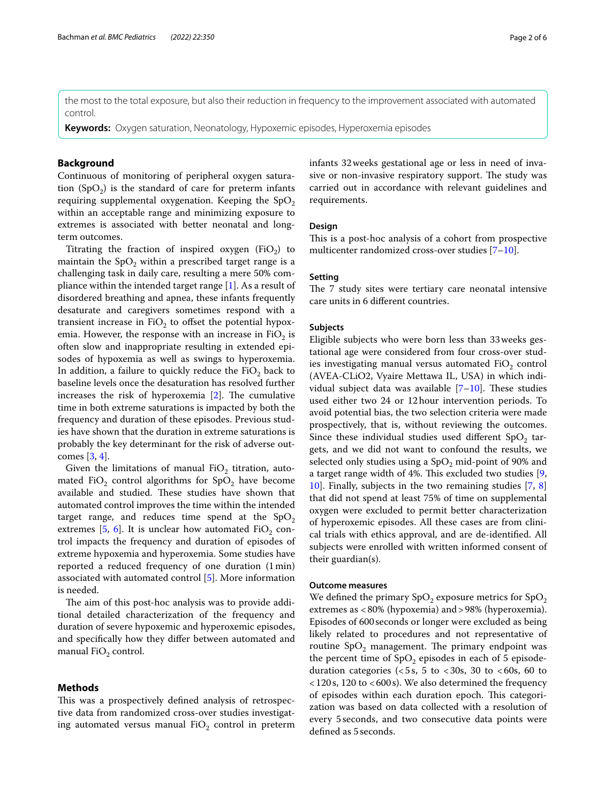the most to the total exposure, but also their reduction in frequency to the improvement associated with automated control.

**Keywords:** Oxygen saturation, Neonatology, Hypoxemic episodes, Hyperoxemia episodes

# **Background**

Continuous of monitoring of peripheral oxygen saturation  $(SpO<sub>2</sub>)$  is the standard of care for preterm infants requiring supplemental oxygenation. Keeping the  $SpO<sub>2</sub>$ within an acceptable range and minimizing exposure to extremes is associated with better neonatal and longterm outcomes.

Titrating the fraction of inspired oxygen (FiO<sub>2</sub>) to maintain the  $SpO<sub>2</sub>$  within a prescribed target range is a challenging task in daily care, resulting a mere 50% compliance within the intended target range [[1\]](#page-5-0). As a result of disordered breathing and apnea, these infants frequently desaturate and caregivers sometimes respond with a transient increase in  $FiO<sub>2</sub>$  to offset the potential hypoxemia. However, the response with an increase in  $FiO<sub>2</sub>$  is often slow and inappropriate resulting in extended episodes of hypoxemia as well as swings to hyperoxemia. In addition, a failure to quickly reduce the  $FiO<sub>2</sub>$  back to baseline levels once the desaturation has resolved further increases the risk of hyperoxemia  $[2]$  $[2]$ . The cumulative time in both extreme saturations is impacted by both the frequency and duration of these episodes. Previous studies have shown that the duration in extreme saturations is probably the key determinant for the risk of adverse outcomes [\[3](#page-5-2), [4\]](#page-5-3).

Given the limitations of manual  $FiO_2$  titration, automated FiO<sub>2</sub> control algorithms for  $SpO<sub>2</sub>$  have become available and studied. These studies have shown that automated control improves the time within the intended target range, and reduces time spend at the  $SpO<sub>2</sub>$ extremes [[5,](#page-5-4) [6\]](#page-5-5). It is unclear how automated  $FiO_2$  control impacts the frequency and duration of episodes of extreme hypoxemia and hyperoxemia. Some studies have reported a reduced frequency of one duration (1min) associated with automated control [[5\]](#page-5-4). More information is needed.

The aim of this post-hoc analysis was to provide additional detailed characterization of the frequency and duration of severe hypoxemic and hyperoxemic episodes, and specifcally how they difer between automated and manual  $FiO<sub>2</sub>$  control.

# **Methods**

This was a prospectively defined analysis of retrospective data from randomized cross-over studies investigating automated versus manual  $FiO<sub>2</sub>$  control in preterm infants 32weeks gestational age or less in need of invasive or non-invasive respiratory support. The study was carried out in accordance with relevant guidelines and requirements.

# **Design**

This is a post-hoc analysis of a cohort from prospective multicenter randomized cross-over studies [\[7](#page-5-6)-[10\]](#page-5-7).

# **Setting**

The 7 study sites were tertiary care neonatal intensive care units in 6 diferent countries.

# **Subjects**

Eligible subjects who were born less than 33weeks gestational age were considered from four cross-over studies investigating manual versus automated  $FiO<sub>2</sub>$  control (AVEA-CLiO2, Vyaire Mettawa IL, USA) in which individual subject data was available  $[7-10]$  $[7-10]$  $[7-10]$ . These studies used either two 24 or 12hour intervention periods. To avoid potential bias, the two selection criteria were made prospectively, that is, without reviewing the outcomes. Since these individual studies used different  $SpO<sub>2</sub>$  targets, and we did not want to confound the results, we selected only studies using a  $SpO<sub>2</sub>$  mid-point of 90% and a target range width of 4%. This excluded two studies  $[9, 1]$  $[9, 1]$ [10\]](#page-5-7). Finally, subjects in the two remaining studies [[7,](#page-5-6) [8](#page-5-9)] that did not spend at least 75% of time on supplemental oxygen were excluded to permit better characterization of hyperoxemic episodes. All these cases are from clinical trials with ethics approval, and are de-identifed. All subjects were enrolled with written informed consent of their guardian(s).

# **Outcome measures**

We defined the primary  $SpO<sub>2</sub>$  exposure metrics for  $SpO<sub>2</sub>$ extremes as <80% (hypoxemia) and>98% (hyperoxemia). Episodes of 600seconds or longer were excluded as being likely related to procedures and not representative of routine  $SpO<sub>2</sub>$  management. The primary endpoint was the percent time of  $SpO<sub>2</sub>$  episodes in each of 5 episodeduration categories ( $\lt 5s$ , 5 to  $\lt 30s$ , 30 to  $\lt 60s$ , 60 to  $<$  120 s, 120 to  $<$  600 s). We also determined the frequency of episodes within each duration epoch. This categorization was based on data collected with a resolution of every 5seconds, and two consecutive data points were defned as 5seconds.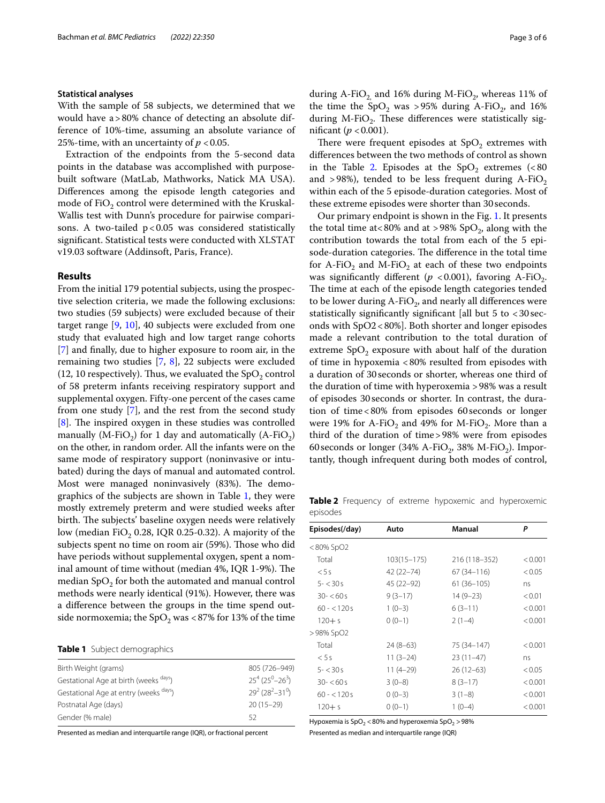# **Statistical analyses**

With the sample of 58 subjects, we determined that we would have a>80% chance of detecting an absolute difference of 10%-time, assuming an absolute variance of 25%-time, with an uncertainty of  $p < 0.05$ .

Extraction of the endpoints from the 5-second data points in the database was accomplished with purposebuilt software (MatLab, Mathworks, Natick MA USA). Diferences among the episode length categories and mode of  $FiO<sub>2</sub>$  control were determined with the Kruskal-Wallis test with Dunn's procedure for pairwise comparisons. A two-tailed  $p < 0.05$  was considered statistically signifcant. Statistical tests were conducted with XLSTAT v19.03 software (Addinsoft, Paris, France).

# **Results**

From the initial 179 potential subjects, using the prospective selection criteria, we made the following exclusions: two studies (59 subjects) were excluded because of their target range [[9,](#page-5-8) [10\]](#page-5-7), 40 subjects were excluded from one study that evaluated high and low target range cohorts [[7\]](#page-5-6) and fnally, due to higher exposure to room air, in the remaining two studies [\[7](#page-5-6), [8\]](#page-5-9), 22 subjects were excluded (12, 10 respectively). Thus, we evaluated the  $SpO<sub>2</sub>$  control of 58 preterm infants receiving respiratory support and supplemental oxygen. Fifty-one percent of the cases came from one study [[7\]](#page-5-6), and the rest from the second study  $[8]$  $[8]$ . The inspired oxygen in these studies was controlled manually (M-FiO<sub>2</sub>) for 1 day and automatically (A-FiO<sub>2</sub>) on the other, in random order. All the infants were on the same mode of respiratory support (noninvasive or intubated) during the days of manual and automated control. Most were managed noninvasively (83%). The demographics of the subjects are shown in Table [1,](#page-2-0) they were mostly extremely preterm and were studied weeks after birth. The subjects' baseline oxygen needs were relatively low (median FiO<sub>2</sub> 0.28, IQR 0.25-0.32). A majority of the subjects spent no time on room air (59%). Those who did have periods without supplemental oxygen, spent a nominal amount of time without (median  $4\%$ , IQR 1-9%). The median  $SpO<sub>2</sub>$  for both the automated and manual control methods were nearly identical (91%). However, there was a diference between the groups in the time spend outside normoxemia; the  $SpO<sub>2</sub>$  was <87% for 13% of the time

## <span id="page-2-0"></span>**Table 1** Subject demographics

| Birth Weight (grams)                  | 805 (726-949)                                |
|---------------------------------------|----------------------------------------------|
| Gestational Age at birth (weeks days) | $25^{4} (25^{0} - 26^{3})$                   |
| Gestational Age at entry (weeks days) | $29^{2}$ (28 <sup>2</sup> -31 <sup>0</sup> ) |
| Postnatal Age (days)                  | $20(15-29)$                                  |
| Gender (% male)                       | 52                                           |
|                                       |                                              |

Presented as median and interquartile range (IQR), or fractional percent

during A-FiO<sub>2</sub> and 16% during M-FiO<sub>2</sub>, whereas 11% of the time the  $SpO<sub>2</sub>$  was >95% during A-FiO<sub>2</sub>, and 16% during M-FiO<sub>2</sub>. These differences were statistically significant ( $p < 0.001$ ).

There were frequent episodes at  $SpO<sub>2</sub>$  extremes with diferences between the two methods of control as shown in the Table [2](#page-2-1). Episodes at the  $SpO<sub>2</sub>$  extremes (<80 and  $>98\%$ ), tended to be less frequent during A-FiO<sub>2</sub> within each of the 5 episode-duration categories. Most of these extreme episodes were shorter than 30seconds.

Our primary endpoint is shown in the Fig. [1](#page-3-0). It presents the total time at  $80\%$  and at  $>98\%$  SpO<sub>2</sub>, along with the contribution towards the total from each of the 5 episode-duration categories. The difference in the total time for A-FiO<sub>2</sub> and M-FiO<sub>2</sub> at each of these two endpoints was significantly different ( $p < 0.001$ ), favoring A-FiO<sub>2</sub>. The time at each of the episode length categories tended to be lower during A-FiO<sub>2</sub>, and nearly all differences were statistically significantly significant [all but  $5$  to  $\lt 30$  seconds with SpO2<80%]. Both shorter and longer episodes made a relevant contribution to the total duration of extreme  $SpO<sub>2</sub>$  exposure with about half of the duration of time in hypoxemia <80% resulted from episodes with a duration of 30 seconds or shorter, whereas one third of the duration of time with hyperoxemia >98% was a result of episodes 30seconds or shorter. In contrast, the duration of time<80% from episodes 60seconds or longer were 19% for A-FiO<sub>2</sub> and 49% for M-FiO<sub>2</sub>. More than a third of the duration of time>98% were from episodes 60 seconds or longer (34% A-FiO<sub>2</sub>, 38% M-FiO<sub>2</sub>). Importantly, though infrequent during both modes of control,

<span id="page-2-1"></span>**Table 2** Frequency of extreme hypoxemic and hyperoxemic episodes

| Episodes(/day) | Auto            | Manual         | P       |
|----------------|-----------------|----------------|---------|
| $< 80\%$ SpO2  |                 |                |         |
| Total          | $103(15 - 175)$ | 216 (118–352)  | < 0.001 |
| < 5s           | 42 (22 – 74)    | $67(34 - 116)$ | < 0.05  |
| $5 - < 30s$    | 45 (22-92)      | $61(36 - 105)$ | ns      |
| $30 - 60s$     | $9(3-17)$       | $14(9-23)$     | < 0.01  |
| $60 - 5120s$   | $1(0-3)$        | $6(3-11)$      | < 0.001 |
| $120 + s$      | $0(0-1)$        | $2(1-4)$       | < 0.001 |
| >98% SpO2      |                 |                |         |
| Total          | $24(8-63)$      | 75 (34 - 147)  | < 0.001 |
| < 5s           | $11(3-24)$      | $23(11-47)$    | ns      |
| $5 - < 30s$    | $11(4-29)$      | $26(12-63)$    | < 0.05  |
| $30 - 50s$     | $3(0-8)$        | $8(3-17)$      | < 0.001 |
| $60 - 120s$    | $0(0-3)$        | $3(1-8)$       | < 0.001 |
| $120 + s$      | $0(0-1)$        | $1(0-4)$       | < 0.001 |
|                |                 |                |         |

Hypoxemia is  $SpO<sub>2</sub> < 80%$  and hyperoxemia  $SpO<sub>2</sub> > 98%$ 

Presented as median and interquartile range (IQR)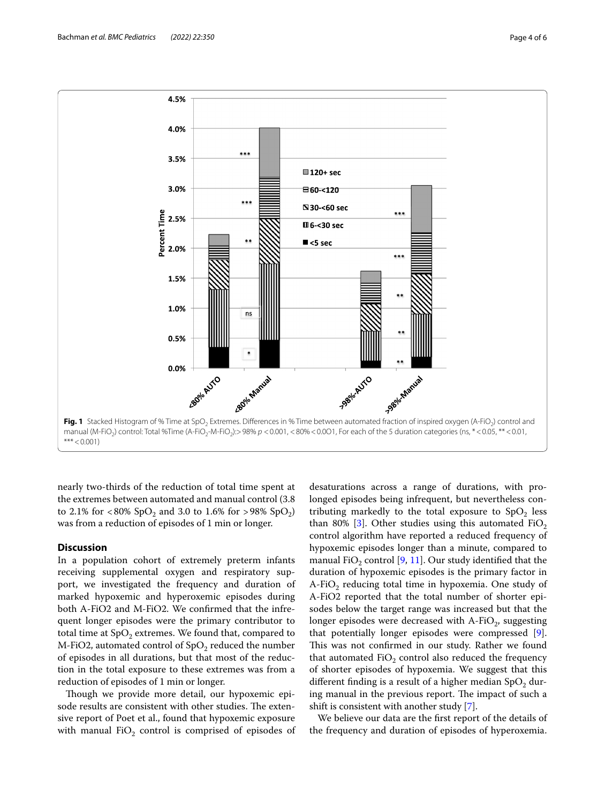

<span id="page-3-0"></span>nearly two-thirds of the reduction of total time spent at the extremes between automated and manual control (3.8 to 2.1% for <80%  $SpO<sub>2</sub>$  and 3.0 to 1.6% for >98%  $SpO<sub>2</sub>$ ) was from a reduction of episodes of 1 min or longer.

# **Discussion**

In a population cohort of extremely preterm infants receiving supplemental oxygen and respiratory support, we investigated the frequency and duration of marked hypoxemic and hyperoxemic episodes during both A-FiO2 and M-FiO2. We confrmed that the infrequent longer episodes were the primary contributor to total time at  $SpO<sub>2</sub>$  extremes. We found that, compared to M-FiO2, automated control of  $SpO<sub>2</sub>$  reduced the number of episodes in all durations, but that most of the reduction in the total exposure to these extremes was from a reduction of episodes of 1 min or longer.

Though we provide more detail, our hypoxemic episode results are consistent with other studies. The extensive report of Poet et al., found that hypoxemic exposure with manual  $FiO<sub>2</sub>$  control is comprised of episodes of

desaturations across a range of durations, with prolonged episodes being infrequent, but nevertheless contributing markedly to the total exposure to  $SpO<sub>2</sub>$  less than 80% [\[3](#page-5-2)]. Other studies using this automated FiO<sub>2</sub> control algorithm have reported a reduced frequency of hypoxemic episodes longer than a minute, compared to manual FiO<sub>2</sub> control  $[9, 11]$  $[9, 11]$  $[9, 11]$ . Our study identified that the duration of hypoxemic episodes is the primary factor in  $A-FiO<sub>2</sub>$  reducing total time in hypoxemia. One study of A-FiO2 reported that the total number of shorter episodes below the target range was increased but that the longer episodes were decreased with  $A-FiO<sub>2</sub>$ , suggesting that potentially longer episodes were compressed [\[9](#page-5-8)]. This was not confirmed in our study. Rather we found that automated FiO<sub>2</sub> control also reduced the frequency of shorter episodes of hypoxemia. We suggest that this different finding is a result of a higher median  $SpO<sub>2</sub>$  during manual in the previous report. The impact of such a shift is consistent with another study [\[7\]](#page-5-6).

We believe our data are the frst report of the details of the frequency and duration of episodes of hyperoxemia.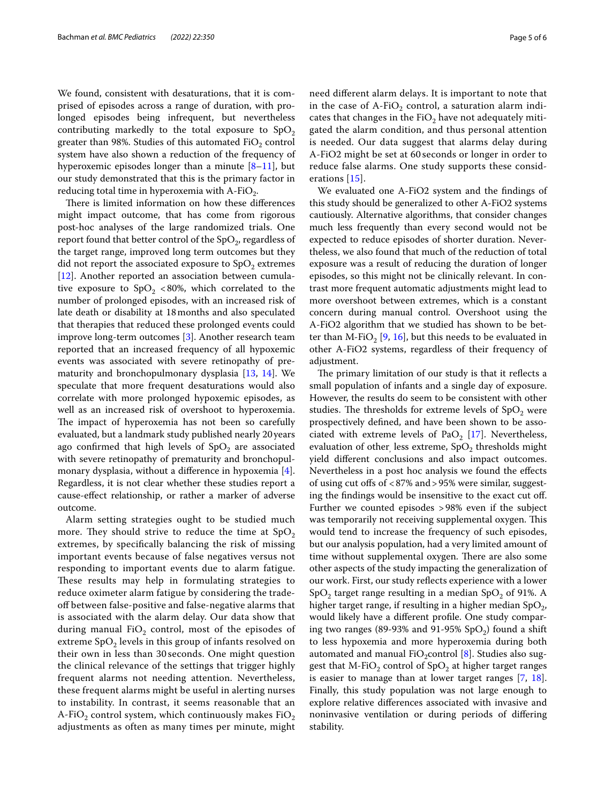We found, consistent with desaturations, that it is comprised of episodes across a range of duration, with prolonged episodes being infrequent, but nevertheless contributing markedly to the total exposure to  $SpO<sub>2</sub>$ greater than 98%. Studies of this automated  $FiO<sub>2</sub>$  control system have also shown a reduction of the frequency of hyperoxemic episodes longer than a minute [\[8](#page-5-9)[–11\]](#page-5-10), but our study demonstrated that this is the primary factor in reducing total time in hyperoxemia with  $A-FiO<sub>2</sub>$ .

There is limited information on how these differences might impact outcome, that has come from rigorous post-hoc analyses of the large randomized trials. One report found that better control of the  $SpO<sub>2</sub>$ , regardless of the target range, improved long term outcomes but they did not report the associated exposure to  $SpO<sub>2</sub>$  extremes [[12\]](#page-5-11). Another reported an association between cumulative exposure to  $SpO<sub>2</sub>$  <80%, which correlated to the number of prolonged episodes, with an increased risk of late death or disability at 18months and also speculated that therapies that reduced these prolonged events could improve long-term outcomes [[3\]](#page-5-2). Another research team reported that an increased frequency of all hypoxemic events was associated with severe retinopathy of prematurity and bronchopulmonary dysplasia [[13,](#page-5-12) [14\]](#page-5-13). We speculate that more frequent desaturations would also correlate with more prolonged hypoxemic episodes, as well as an increased risk of overshoot to hyperoxemia. The impact of hyperoxemia has not been so carefully evaluated, but a landmark study published nearly 20years ago confirmed that high levels of  $SpO<sub>2</sub>$  are associated with severe retinopathy of prematurity and bronchopulmonary dysplasia, without a diference in hypoxemia [\[4](#page-5-3)]. Regardless, it is not clear whether these studies report a cause-efect relationship, or rather a marker of adverse outcome.

Alarm setting strategies ought to be studied much more. They should strive to reduce the time at  $SpO<sub>2</sub>$ extremes, by specifcally balancing the risk of missing important events because of false negatives versus not responding to important events due to alarm fatigue. These results may help in formulating strategies to reduce oximeter alarm fatigue by considering the tradeof between false-positive and false-negative alarms that is associated with the alarm delay. Our data show that during manual  $FiO<sub>2</sub>$  control, most of the episodes of extreme  $SpO<sub>2</sub>$  levels in this group of infants resolved on their own in less than 30 seconds. One might question the clinical relevance of the settings that trigger highly frequent alarms not needing attention. Nevertheless, these frequent alarms might be useful in alerting nurses to instability. In contrast, it seems reasonable that an A-FiO<sub>2</sub> control system, which continuously makes FiO<sub>2</sub> adjustments as often as many times per minute, might need diferent alarm delays. It is important to note that

in the case of  $A-FiO<sub>2</sub>$  control, a saturation alarm indicates that changes in the  $FiO<sub>2</sub>$  have not adequately mitigated the alarm condition, and thus personal attention is needed. Our data suggest that alarms delay during A-FiO2 might be set at 60 seconds or longer in order to reduce false alarms. One study supports these considerations [\[15\]](#page-5-14).

We evaluated one A-FiO2 system and the fndings of this study should be generalized to other A-FiO2 systems cautiously. Alternative algorithms, that consider changes much less frequently than every second would not be expected to reduce episodes of shorter duration. Nevertheless, we also found that much of the reduction of total exposure was a result of reducing the duration of longer episodes, so this might not be clinically relevant. In contrast more frequent automatic adjustments might lead to more overshoot between extremes, which is a constant concern during manual control. Overshoot using the A-FiO2 algorithm that we studied has shown to be bet-ter than M-FiO<sub>2</sub> [\[9](#page-5-8), [16\]](#page-5-15), but this needs to be evaluated in other A-FiO2 systems, regardless of their frequency of adjustment.

The primary limitation of our study is that it reflects a small population of infants and a single day of exposure. However, the results do seem to be consistent with other studies. The thresholds for extreme levels of  $SpO<sub>2</sub>$  were prospectively defned, and have been shown to be asso-ciated with extreme levels of PaO<sub>2</sub> [[17](#page-5-16)]. Nevertheless, evaluation of other, less extreme,  $SpO<sub>2</sub>$  thresholds might yield diferent conclusions and also impact outcomes. Nevertheless in a post hoc analysis we found the efects of using cut ofs of <87% and>95% were similar, suggesting the fndings would be insensitive to the exact cut of. Further we counted episodes >98% even if the subject was temporarily not receiving supplemental oxygen. This would tend to increase the frequency of such episodes, but our analysis population, had a very limited amount of time without supplemental oxygen. There are also some other aspects of the study impacting the generalization of our work. First, our study refects experience with a lower SpO<sub>2</sub> target range resulting in a median SpO<sub>2</sub> of 91%. A higher target range, if resulting in a higher median  $SpO<sub>2</sub>$ , would likely have a diferent profle. One study comparing two ranges (89-93% and 91-95%  $SpO<sub>2</sub>$ ) found a shift to less hypoxemia and more hyperoxemia during both automated and manual FiO<sub>2</sub>control [[8\]](#page-5-9). Studies also suggest that M-FiO<sub>2</sub> control of  $SpO<sub>2</sub>$  at higher target ranges is easier to manage than at lower target ranges [\[7](#page-5-6), [18](#page-5-17)]. Finally, this study population was not large enough to explore relative diferences associated with invasive and noninvasive ventilation or during periods of difering stability.